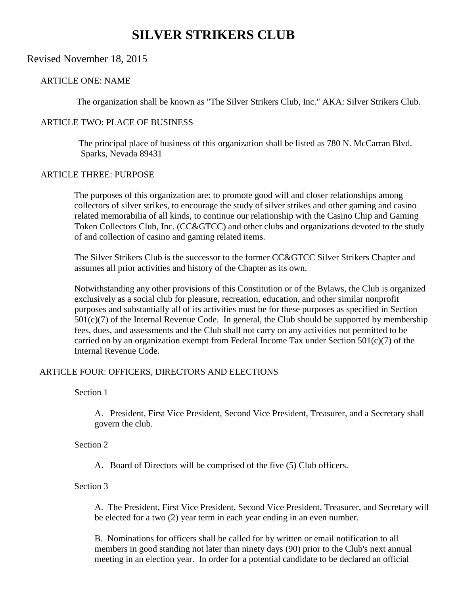# **SILVER STRIKERS CLUB**

## Revised November 18, 2015

## ARTICLE ONE: NAME

The organization shall be known as "The Silver Strikers Club, Inc." AKA: Silver Strikers Club.

## ARTICLE TWO: PLACE OF BUSINESS

 The principal place of business of this organization shall be listed as 780 N. McCarran Blvd. Sparks, Nevada 89431

### ARTICLE THREE: PURPOSE

The purposes of this organization are: to promote good will and closer relationships among collectors of silver strikes, to encourage the study of silver strikes and other gaming and casino related memorabilia of all kinds, to continue our relationship with the Casino Chip and Gaming Token Collectors Club, Inc. (CC&GTCC) and other clubs and organizations devoted to the study of and collection of casino and gaming related items.

The Silver Strikers Club is the successor to the former CC&GTCC Silver Strikers Chapter and assumes all prior activities and history of the Chapter as its own.

Notwithstanding any other provisions of this Constitution or of the Bylaws, the Club is organized exclusively as a social club for pleasure, recreation, education, and other similar nonprofit purposes and substantially all of its activities must be for these purposes as specified in Section  $501(c)(7)$  of the Internal Revenue Code. In general, the Club should be supported by membership fees, dues, and assessments and the Club shall not carry on any activities not permitted to be carried on by an organization exempt from Federal Income Tax under Section 501(c)(7) of the Internal Revenue Code.

## ARTICLE FOUR: OFFICERS, DIRECTORS AND ELECTIONS

Section 1

A. President, First Vice President, Second Vice President, Treasurer, and a Secretary shall govern the club.

Section 2

A. Board of Directors will be comprised of the five (5) Club officers.

Section 3

A. The President, First Vice President, Second Vice President, Treasurer, and Secretary will be elected for a two (2) year term in each year ending in an even number.

B. Nominations for officers shall be called for by written or email notification to all members in good standing not later than ninety days (90) prior to the Club's next annual meeting in an election year. In order for a potential candidate to be declared an official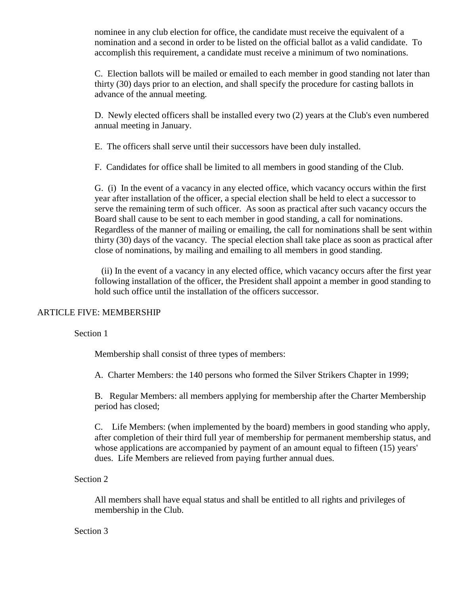nominee in any club election for office, the candidate must receive the equivalent of a nomination and a second in order to be listed on the official ballot as a valid candidate. To accomplish this requirement, a candidate must receive a minimum of two nominations.

C. Election ballots will be mailed or emailed to each member in good standing not later than thirty (30) days prior to an election, and shall specify the procedure for casting ballots in advance of the annual meeting.

D. Newly elected officers shall be installed every two (2) years at the Club's even numbered annual meeting in January.

E. The officers shall serve until their successors have been duly installed.

F. Candidates for office shall be limited to all members in good standing of the Club.

G. (i) In the event of a vacancy in any elected office, which vacancy occurs within the first year after installation of the officer, a special election shall be held to elect a successor to serve the remaining term of such officer. As soon as practical after such vacancy occurs the Board shall cause to be sent to each member in good standing, a call for nominations. Regardless of the manner of mailing or emailing, the call for nominations shall be sent within thirty (30) days of the vacancy. The special election shall take place as soon as practical after close of nominations, by mailing and emailing to all members in good standing.

 (ii) In the event of a vacancy in any elected office, which vacancy occurs after the first year following installation of the officer, the President shall appoint a member in good standing to hold such office until the installation of the officers successor.

## ARTICLE FIVE: MEMBERSHIP

## Section 1

Membership shall consist of three types of members:

A. Charter Members: the 140 persons who formed the Silver Strikers Chapter in 1999;

B. Regular Members: all members applying for membership after the Charter Membership period has closed;

C. Life Members: (when implemented by the board) members in good standing who apply, after completion of their third full year of membership for permanent membership status, and whose applications are accompanied by payment of an amount equal to fifteen (15) years' dues. Life Members are relieved from paying further annual dues.

## Section 2

All members shall have equal status and shall be entitled to all rights and privileges of membership in the Club.

## Section 3